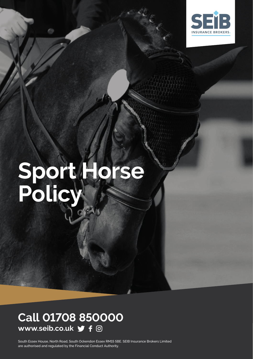

# **Sport Horse Policy**

### **Call 01708 850000 www.seib.co.uk**

South Essex House, North Road, South Ockendon Essex RM15 5BE. SEIB Insurance Brokers Limited are authorised and regulated by the Financial Conduct Authority.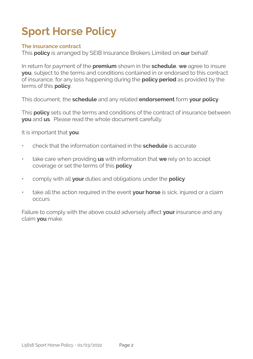# **Sport Horse Policy**

#### **The insurance contract**

This **policy** is arranged by SEIB Insurance Brokers Limited on **our** behalf.

In return for payment of the **premium** shown in the **schedule**, **we** agree to insure **you**, subject to the terms and conditions contained in or endorsed to this contract of insurance, for any loss happening during the **policy period** as provided by the terms of this **policy**.

This document, the **schedule** and any related **endorsement** form **your policy**.

This **policy** sets out the terms and conditions of the contract of insurance between **you** and **us**. Please read the whole document carefully.

It is important that **you**:

- check that the information contained in the **schedule** is accurate
- take care when providing **us** with information that **we** rely on to accept coverage or set the terms of this **policy**
- comply with all **your** duties and obligations under the **policy**
- take all the action required in the event **your horse** is sick, injured or a claim occurs

Failure to comply with the above could adversely affect **your** insurance and any claim **you** make.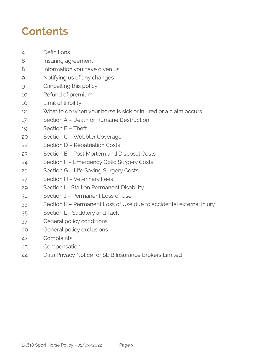## **Contents**

- Definitions
- Insuring agreement
- 8 Information you have given us
- Notifying us of any changes
- Cancelling this policy
- Refund of premium
- Limit of liability
- What to do when your horse is sick or injured or a claim occurs
- Section A Death or Humane Destruction
- Section B Theft
- Section C Wobbler Coverage
- Section D Repatriation Costs
- Section E Post Mortem and Disposal Costs
- Section F Emergency Colic Surgery Costs
- Section G Life Saving Surgery Costs
- Section H Veterinary Fees
- Section I Stallion Permanent Disability
- Section J Permanent Loss of Use
- Section K Permanent Loss of Use due to accidental external injury
- Section L Saddlery and Tack
- General policy conditions
- General policy exclusions
- Complaints
- Compensation
- Data Privacy Notice for SEIB Insurance Brokers Limited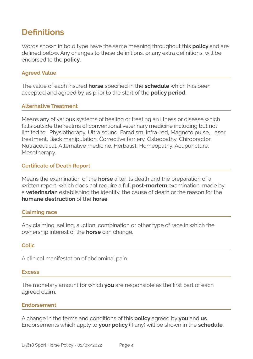### **Definitions**

Words shown in bold type have the same meaning throughout this **policy** and are defined below. Any changes to these definitions, or any extra definitions, will be endorsed to the **policy**.

#### **Agreed Value**

The value of each insured **horse** specified in the **schedule** which has been accepted and agreed by **us** prior to the start of the **policy period**.

#### **Alternative Treatment**

Means any of various systems of healing or treating an illness or disease which falls outside the realms of conventional veterinary medicine including but not limited to: Physiotherapy, Ultra sound, Faradism, Infra-red, Magneto pulse, Laser treatment, Back manipulation, Corrective farriery, Osteopathy, Chiropractor, Nutraceutical, Alternative medicine, Herbalist, Homeopathy, Acupuncture, Mesotherapy.

#### **Certificate of Death Report**

Means the examination of the **horse** after its death and the preparation of a written report, which does not require a full **post-mortem** examination, made by a **veterinarian** establishing the identity, the cause of death or the reason for the **humane destruction** of the **horse**.

#### **Claiming race**

Any claiming, selling, auction, combination or other type of race in which the ownership interest of the **horse** can change.

#### **Colic**

A clinical manifestation of abdominal pain.

#### **Excess**

The monetary amount for which **you** are responsible as the first part of each agreed claim.

#### **Endorsement**

A change in the terms and conditions of this **policy** agreed by **you** and **us**. Endorsements which apply to **your policy** (if any) will be shown in the **schedule**.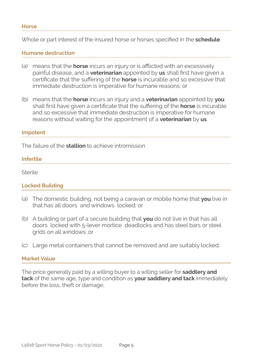Whole or part interest of the insured horse or horses specified in the **schedule**.

#### **Humane destruction**

- (a) means that the **horse** incurs an injury or is afflicted with an excessively painful disease, and a **veterinarian** appointed by **us** shall first have given a certificate that the suffering of the **horse** is incurable and so excessive that immediate destruction is imperative for humane reasons; or
- (b) means that the **horse** incurs an injury and a **veterinarian** appointed by **you**  shall first have given a certificate that the suffering of the **horse** is incurable and so excessive that immediate destruction is imperative for humane reasons without waiting for the appointment of a **veterinarian** by **us**.

#### **Impotent**

The failure of the **stallion** to achieve intromission

#### **Infertile**

Sterile

#### **Locked Building**

- (a) The domestic building, not being a caravan or mobile home that **you** live in that has all doors and windows locked; or
- (b) A building or part of a secure building that **you** do not live in that has all doors locked with 5-lever mortice deadlocks and has steel bars or steel grids on all windows; or
- (c) Large metal containers that cannot be removed and are suitably locked.

#### **Market Value**

The price generally paid by a willing buyer to a willing seller for **saddlery and tack** of the same age, type and condition as **your saddlery and tack** immediately before the loss, theft or damage,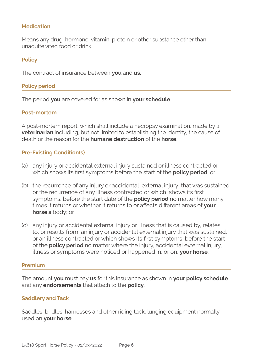#### **Medication**

Means any drug, hormone, vitamin, protein or other substance other than unadulterated food or drink.

#### **Policy**

The contract of insurance between **you** and **us**.

#### **Policy period**

The period **you** are covered for as shown in **your schedule**

#### **Post-mortem**

A post-mortem report, which shall include a necropsy examination, made by a **veterinarian** including, but not limited to establishing the identity, the cause of death or the reason for the **humane destruction** of the **horse**.

#### **Pre-Existing Condition(s)**

- (a) any injury or accidental external injury sustained or illness contracted or which shows its first symptoms before the start of the **policy period**; or
- (b) the recurrence of any injury or accidental external injury that was sustained, or the recurrence of any illness contracted or which shows its first symptoms, before the start date of the **policy period** no matter how many times it returns or whether it returns to or affects different areas of **your horse**'**s** body; or
- (c) any injury or accidental external injury or illness that is caused by, relates to, or results from, an injury or accidental external injury that was sustained, or an illness contracted or which shows its first symptoms, before the start of the **policy period** no matter where the injury, accidental external injury, illness or symptoms were noticed or happened in, or on, **your horse**.

#### **Premium**

The amount **you** must pay **us** for this insurance as shown in **your policy schedule**  and any **endorsements** that attach to the **policy**.

#### **Saddlery and Tack**

Saddles, bridles, harnesses and other riding tack, lunging equipment normally used on **your horse**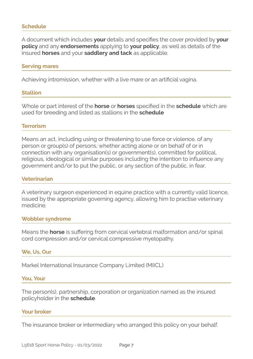#### **Schedule**

A document which includes **your** details and specifies the cover provided by **your policy** and any **endorsements** applying to **your policy**, as well as details of the insured **horses** and your **saddlery and tack** as applicable.

#### **Serving mares**

Achieving intromission, whether with a live mare or an artificial vagina.

#### **Stallion**

Whole or part interest of the **horse** or **horses** specified in the **schedule** which are used for breeding and listed as stallions in the **schedule**

#### **Terrorism**

Means an act, including using or threatening to use force or violence, of any person or group(s) of persons, whether acting alone or on behalf of or in connection with any organisation(s) or government(s), committed for political, religious, ideological or similar purposes including the intention to influence any government and/or to put the public, or any section of the public, in fear.

#### **Veterinarian**

A veterinary surgeon experienced in equine practice with a currently valid licence, issued by the appropriate governing agency, allowing him to practise veterinary medicine.

#### **Wobbler syndrome**

Means the **horse** is suffering from cervical vertebral malformation and/or spinal cord compression and/or cervical compressive myelopathy.

#### **We, Us, Our**

Markel International Insurance Company Limited (MIICL)

#### **You, Your**

The person(s), partnership, corporation or organization named as the insured policyholder in the **schedule**.

#### **Your broker**

The insurance broker or intermediary who arranged this policy on your behalf.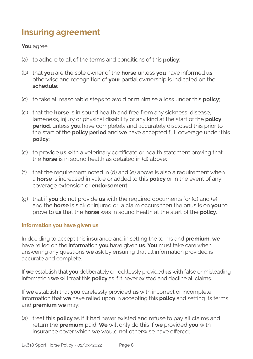### **Insuring agreement**

#### **You** agree:

- (a) to adhere to all of the terms and conditions of this **policy**;
- (b) that **you** are the sole owner of the **horse** unless **you** have informed **us** otherwise and recognition of **your** partial ownership is indicated on the **schedule**;
- (c) to take all reasonable steps to avoid or minimise a loss under this **policy**;
- (d) that the **horse** is in sound health and free from any sickness, disease, lameness, injury or physical disability of any kind at the start of the **policy period**, unless **you** have completely and accurately disclosed this prior to the start of the **policy period** and **we** have accepted full coverage under this **policy**;
- (e) to provide **us** with a veterinary certificate or health statement proving that the **horse** is in sound health as detailed in (d) above;
- (f) that the requirement noted in (d) and (e) above is also a requirement when a **horse** is increased in value or added to this **policy** or in the event of any coverage extension or **endorsement**.
- (g) that if **you** do not provide **us** with the required documents for (d) and (e) and the **horse** is sick or injured or a claim occurs then the onus is on **you** to prove to **us** that the **horse** was in sound health at the start of the **policy**.

#### **Information you have given us**

In deciding to accept this insurance and in setting the terms and **premium**, **we**  have relied on the information **you** have given **us**. **You** must take care when answering any questions **we** ask by ensuring that all information provided is accurate and complete.

If **we** establish that **you** deliberately or recklessly provided **us** with false or misleading information **we** will treat this **policy** as if it never existed and decline all claims.

If **we** establish that **you** carelessly provided **us** with incorrect or incomplete information that **we** have relied upon in accepting this **policy** and setting its terms and **premium we** may:

(a) treat this **policy** as if it had never existed and refuse to pay all claims and return the **premium** paid. **We** will only do this if **we** provided **you** with insurance cover which **we** would not otherwise have offered;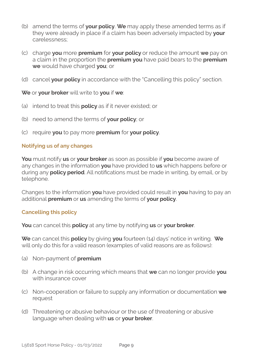- (b) amend the terms of **your policy**. **We** may apply these amended terms as if they were already in place if a claim has been adversely impacted by **your**  carelessness;
- (c) charge **you** more **premium** for **your policy** or reduce the amount **we** pay on a claim in the proportion the **premium you** have paid bears to the **premium we** would have charged **you**; or
- (d) cancel **your policy** in accordance with the "Cancelling this policy" section.

**We** or **your broker** will write to **you** if **we**:

- (a) intend to treat this **policy** as if it never existed; or
- (b) need to amend the terms of **your policy**; or
- (c) require **you** to pay more **premium** for **your policy**.

#### **Notifying us of any changes**

**You** must notify **us** or **your broker** as soon as possible if **you** become aware of any changes in the information **you** have provided to **us** which happens before or during any **policy period**. All notifications must be made in writing, by email, or by telephone.

Changes to the information **you** have provided could result in **you** having to pay an additional **premium** or **us** amending the terms of **your policy**.

#### **Cancelling this policy**

**You** can cancel this **policy** at any time by notifying **us** or **your broker**.

**We** can cancel this **policy** by giving **you** fourteen (14) days' notice in writing. **We**  will only do this for a valid reason (examples of valid reasons are as follows):

- (a) Non-payment of **premium**
- (b) A change in risk occurring which means that **we** can no longer provide **you**  with insurance cover
- (c) Non-cooperation or failure to supply any information or documentation **we**  request
- (d) Threatening or abusive behaviour or the use of threatening or abusive language when dealing with **us** or **your broker**.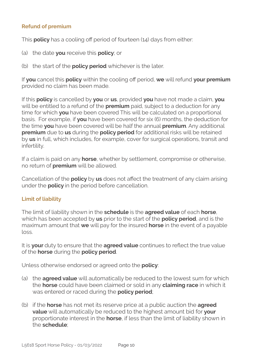#### **Refund of premium**

This **policy** has a cooling off period of fourteen (14) days from either:

- (a) the date **you** receive this **policy**; or
- (b) the start of the **policy period** whichever is the later.

If **you** cancel this **policy** within the cooling off period, **we** will refund **your premium** provided no claim has been made.

If this **policy** is cancelled by **you** or **us**, provided **you** have not made a claim, **you**  will be entitled to a refund of the **premium** paid, subject to a deduction for any time for which **you** have been covered This will be calculated on a proportional basis. For example, if **you** have been covered for six (6) months, the deduction for the time **you** have been covered will be half the annual **premium**. Any additional **premium** due to **us** during the **policy period** for additional risks will be retained by **us** in full, which includes, for example, cover for surgical operations, transit and infertility.

If a claim is paid on any **horse**, whether by settlement, compromise or otherwise, no return of **premium** will be allowed.

Cancellation of the **policy** by **us** does not affect the treatment of any claim arising under the **policy** in the period before cancellation.

#### **Limit of liability**

The limit of liability shown in the **schedule** is the **agreed value** of each **horse**, which has been accepted by **us** prior to the start of the **policy period**, and is the maximum amount that **we** will pay for the insured **horse** in the event of a payable loss.

It is **your** duty to ensure that the **agreed value** continues to reflect the true value of the **horse** during the **policy period**.

Unless otherwise endorsed or agreed onto the **policy**:

- (a) the **agreed value** will automatically be reduced to the lowest sum for which the **horse** could have been claimed or sold in any **claiming race** in which it was entered or raced during the **policy period**;
- (b) if the **horse** has not met its reserve price at a public auction the **agreed value** will automatically be reduced to the highest amount bid for **your**  proportionate interest in the **horse**, if less than the limit of liability shown in the **schedule**;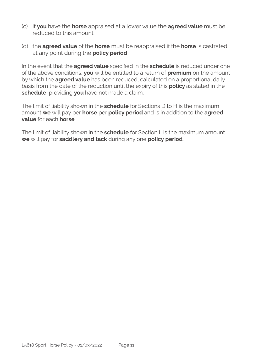- (c) if **you** have the **horse** appraised at a lower value the **agreed value** must be reduced to this amount
- (d) the **agreed value** of the **horse** must be reappraised if the **horse** is castrated at any point during the **policy period**

In the event that the **agreed value** specified in the **schedule** is reduced under one of the above conditions, **you** will be entitled to a return of **premium** on the amount by which the **agreed value** has been reduced, calculated on a proportional daily basis from the date of the reduction until the expiry of this **policy** as stated in the **schedule**, providing **you** have not made a claim.

The limit of liability shown in the **schedule** for Sections D to H is the maximum amount **we** will pay per **horse** per **policy period** and is in addition to the **agreed value** for each **horse**.

The limit of liability shown in the **schedule** for Section L is the maximum amount **we** will pay for **saddlery and tack** during any one **policy period**.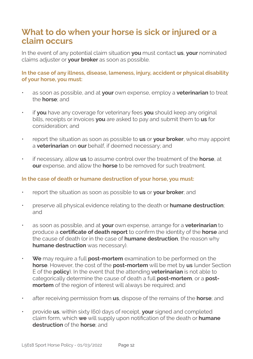### **What to do when your horse is sick or injured or a claim occurs**

In the event of any potential claim situation **you** must contact **us**, **your** nominated claims adjuster or **your broker** as soon as possible.

**In the case of any illness, disease, lameness, injury, accident or physical disability of your horse, you must:**

- as soon as possible, and at **your** own expense, employ a **veterinarian** to treat the **horse**; and
- if **you** have any coverage for veterinary fees **you** should keep any original bills, receipts or invoices **you** are asked to pay and submit them to **us** for consideration; and
- report the situation as soon as possible to **us** or **your broker**, who may appoint a **veterinarian** on **our** behalf, if deemed necessary; and
- if necessary, allow **us** to assume control over the treatment of the **horse**, at **our** expense, and allow the **horse** to be removed for such treatment.

#### **In the case of death or humane destruction of your horse, you must:**

- report the situation as soon as possible to **us** or **your broker**; and
- preserve all physical evidence relating to the death or **humane destruction**; and
- as soon as possible, and at **your** own expense, arrange for a **veterinarian** to produce a **certificate of death report** to confirm the identity of the **horse** and the cause of death (or in the case of **humane destruction**, the reason why **humane destruction** was necessary).
- **We** may require a full **post-mortem** examination to be performed on the **horse**. However, the cost of the **post-mortem** will be met by **us** (under Section E of the **policy**). In the event that the attending **veterinarian** is not able to categorically determine the cause of death a full **post-mortem**, or a **postmortem** of the region of interest will always be required; and
- after receiving permission from **us**, dispose of the remains of the **horse**; and
- provide **us**, within sixty (60) days of receipt, **your** signed and completed claim form, which **we** will supply upon notification of the death or **humane destruction** of the **horse**; and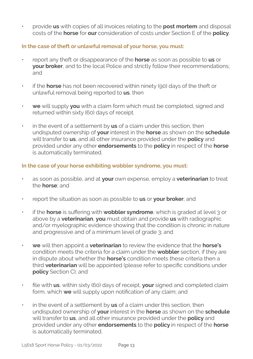• provide **us** with copies of all invoices relating to the **post mortem** and disposal costs of the **horse** for **our** consideration of costs under Section E of the **policy**.

#### **In the case of theft or unlawful removal of your horse, you must:**

- report any theft or disappearance of the **horse** as soon as possible to **us** or **your broker**, and to the local Police and strictly follow their recommendations; and
- if the **horse** has not been recovered within ninety (90) days of the theft or unlawful removal being reported to **us**, then
- **we** will supply **you** with a claim form which must be completed, signed and returned within sixty (60) days of receipt.
- in the event of a settlement by **us** of a claim under this section, then undisputed ownership of **your** interest in the **horse** as shown on the **schedule**  will transfer to **us**, and all other insurance provided under the **policy** and provided under any other **endorsements** to the **policy** in respect of the **horse** is automatically terminated.

#### **In the case of your horse exhibiting wobbler syndrome, you must:**

- as soon as possible, and at **your** own expense, employ a **veterinarian** to treat the **horse**; and
- report the situation as soon as possible to **us** or **your broker**; and
- if the **horse** is suffering with **wobbler syndrome**, which is graded at level 3 or above by a **veterinarian**, **you** must obtain and provide **us** with radiographic and/or myelographic evidence showing that the condition is chronic in nature and progressive and of a minimum level of grade 3; and
- **we** will then appoint a **veterinarian** to review the evidence that the **horse's** condition meets the criteria for a claim under the **wobbler** section, if they are in dispute about whether the **horse's** condition meets these criteria then a third **veterinarian** will be appointed (please refer to specific conditions under **policy** Section C); and
- file with **us**, within sixty (60) days of receipt, **your** signed and completed claim form, which **we** will supply upon notification of any claim; and
- in the event of a settlement by **us** of a claim under this section, then undisputed ownership of **your** interest in the **horse** as shown on the **schedule**  will transfer to **us**, and all other insurance provided under the **policy** and provided under any other **endorsements** to the **policy** in respect of the **horse** is automatically terminated.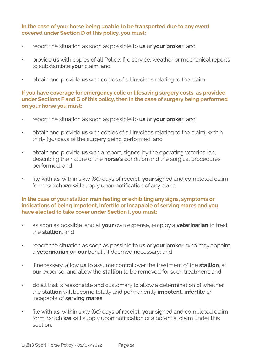#### **In the case of your horse being unable to be transported due to any event covered under Section D of this policy, you must:**

- report the situation as soon as possible to **us** or **your broker**; and
- provide **us** with copies of all Police, fire service, weather or mechanical reports to substantiate **your** claim; and
- obtain and provide **us** with copies of all invoices relating to the claim.

#### **If you have coverage for emergency colic or lifesaving surgery costs, as provided under Sections F and G of this policy, then in the case of surgery being performed on your horse you must:**

- report the situation as soon as possible to **us** or **your broker**; and
- obtain and provide **us** with copies of all invoices relating to the claim, within thirty (30) days of the surgery being performed; and
- obtain and provide **us** with a report, signed by the operating veterinarian, describing the nature of the **horse's** condition and the surgical procedures performed; and
- file with **us**, within sixty (60) days of receipt, **your** signed and completed claim form, which **we** will supply upon notification of any claim.

#### **In the case of your stallion manifesting or exhibiting any signs, symptoms or indications of being impotent, infertile or incapable of serving mares and you have elected to take cover under Section I, you must:**

- as soon as possible, and at **your** own expense, employ a **veterinarian** to treat the **stallion**; and
- report the situation as soon as possible to **us** or **your broker**, who may appoint a **veterinarian** on **our** behalf, if deemed necessary; and
- if necessary, allow **us** to assume control over the treatment of the **stallion**, at **our** expense, and allow the **stallion** to be removed for such treatment; and
- do all that is reasonable and customary to allow a determination of whether the **stallion** will become totally and permanently **impotent**, **infertile** or incapable of **serving mares**
- file with **us**, within sixty (60) days of receipt, **your** signed and completed claim form, which **we** will supply upon notification of a potential claim under this section.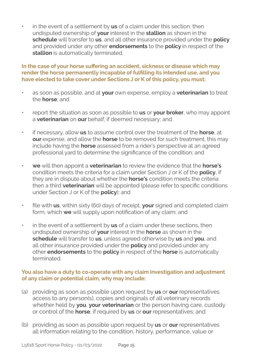• in the event of a settlement by **us** of a claim under this section, then undisputed ownership of **your** interest in the **stallion** as shown in the **schedule** will transfer to **us**, and all other insurance provided under the **policy**  and provided under any other **endorsements** to the **policy** in respect of the **stallion** is automatically terminated.

#### **In the case of your horse suffering an accident, sickness or disease which may render the horse permanently incapable of fulfilling its intended use, and you have elected to take cover under Sections J or K of this policy, you must:**

- as soon as possible, and at **your** own expense, employ a **veterinarian** to treat the **horse**; and
- report the situation as soon as possible to **us** or **your broker**, who may appoint a **veterinarian** on **our** behalf, if deemed necessary; and
- if necessary, allow **us** to assume control over the treatment of the **horse**, at **our** expense, and allow the **horse** to be removed for such treatment, this may include having the **horse** assessed from a rider's perspective at an agreed professional yard to determine the significance of the condition; and
- **we** will then appoint a **veterinarian** to review the evidence that the **horse's** condition meets the criteria for a claim under Section J or K of the **policy**, if they are in dispute about whether the **horse's** condition meets the criteria then a third **veterinarian** will be appointed (please refer to specific conditions under Section J or K of the **policy**); and
- file with **us**, within sixty (60) days of receipt, **your** signed and completed claim form, which **we** will supply upon notification of any claim; and
- in the event of a settlement by **us** of a claim under these sections, then undisputed ownership of **your** interest in the **horse** as shown in the **schedule** will transfer to **us**, unless agreed otherwise by **us** and **you**, and all other insurance provided under the **policy** and provided under any other **endorsements** to the **policy** in respect of the **horse** is automatically terminated.

#### **You also have a duty to co-operate with any claim investigation and adjustment of any claim or potential claim, why may include:**

- (a) providing as soon as possible upon request by **us** or **our** representatives access to any person(s), copies and originals of all veterinary records whether held by **you**, **your veterinarian** or the person having care, custody or control of the **horse**, if required by **us** or **our** representatives; and
- (b) providing as soon as possible upon request by **us** or **our** representatives all information relating to the condition, history, performance, value or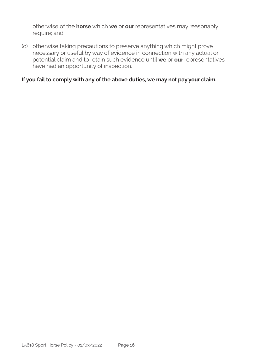otherwise of the **horse** which **we** or **our** representatives may reasonably require; and

(c) otherwise taking precautions to preserve anything which might prove necessary or useful by way of evidence in connection with any actual or potential claim and to retain such evidence until **we** or **our** representatives have had an opportunity of inspection.

#### **If you fail to comply with any of the above duties, we may not pay your claim.**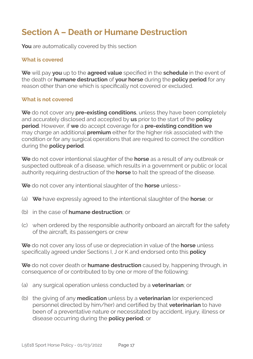### **Section A – Death or Humane Destruction**

**You** are automatically covered by this section

#### **What is covered**

**We** will pay **you** up to the **agreed value** specified in the **schedule** in the event of the death or **humane destruction** of **your horse** during the **policy period** for any reason other than one which is specifically not covered or excluded.

#### **What is not covered**

**We** do not cover any **pre-existing conditions**, unless they have been completely and accurately disclosed and accepted by **us** prior to the start of the **policy period**. However, if **we** do accept coverage for a **pre-existing condition we**  may charge an additional **premium** either for the higher risk associated with the condition or for any surgical operations that are required to correct the condition during the **policy period**.

**We** do not cover intentional slaughter of the **horse** as a result of any outbreak or suspected outbreak of a disease, which results in a government or public or local authority requiring destruction of the **horse** to halt the spread of the disease.

**We** do not cover any intentional slaughter of the **horse** unless:-

- (a) **We** have expressly agreed to the intentional slaughter of the **horse**; or
- (b) in the case of **humane destruction**; or
- (c) when ordered by the responsible authority onboard an aircraft for the safety of the aircraft, its passengers or crew

**We** do not cover any loss of use or depreciation in value of the **horse** unless specifically agreed under Sections I, J or K and endorsed onto this **policy**

**We** do not cover death or **humane destruction** caused by, happening through, in consequence of or contributed to by one or more of the following:

- (a) any surgical operation unless conducted by a **veterinarian**; or
- (b) the giving of any **medication** unless by a **veterinarian** (or experienced personnel directed by him/her) and certified by that **veterinarian** to have been of a preventative nature or necessitated by accident, injury, illness or disease occurring during the **policy period**; or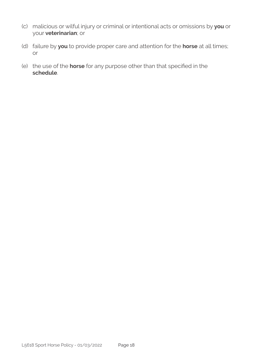- (c) malicious or wilful injury or criminal or intentional acts or omissions by **you** or your **veterinarian**; or
- (d) failure by **you** to provide proper care and attention for the **horse** at all times; or
- (e) the use of the **horse** for any purpose other than that specified in the **schedule**.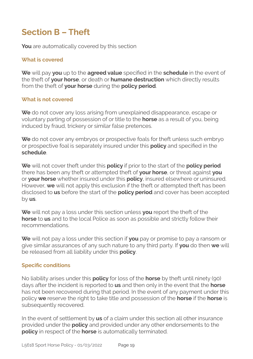### **Section B – Theft**

**You** are automatically covered by this section

#### **What is covered**

**We** will pay **you** up to the **agreed value** specified in the **schedule** in the event of the theft of **your horse**, or death or **humane destruction** which directly results from the theft of **your horse** during the **policy period**.

#### **What is not covered**

**We** do not cover any loss arising from unexplained disappearance, escape or voluntary parting of possession of or title to the **horse** as a result of you, being induced by fraud, trickery or similar false pretences.

**We** do not cover any embryos or prospective foals for theft unless such embryo or prospective foal is separately insured under this **policy** and specified in the **schedule**.

**We** will not cover theft under this **policy** if prior to the start of the **policy period**  there has been any theft or attempted theft of **your horse**, or threat against **you**  or **your horse** whether insured under this **policy**, insured elsewhere or uninsured. However, **we** will not apply this exclusion if the theft or attempted theft has been disclosed to **us** before the start of the **policy period** and cover has been accepted by **us**.

**We** will not pay a loss under this section unless **you** report the theft of the **horse** to **us** and to the local Police as soon as possible and strictly follow their recommendations.

**We** will not pay a loss under this section if **you** pay or promise to pay a ransom or give similar assurances of any such nature to any third party. If **you** do then **we** will be released from all liability under this **policy**.

#### **Specific conditions**

No liability arises under this **policy** for loss of the **horse** by theft until ninety (90) days after the incident is reported to **us** and then only in the event that the **horse** has not been recovered during that period. In the event of any payment under this policy **we** reserve the right to take title and possession of the **horse** if the **horse** is subsequently recovered.

In the event of settlement by **us** of a claim under this section all other insurance provided under the **policy** and provided under any other endorsements to the **policy** in respect of the **horse** is automatically terminated.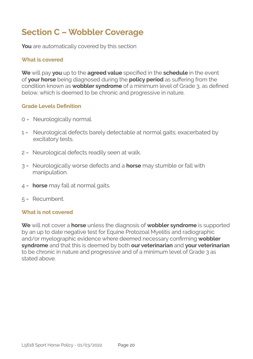### **Section C – Wobbler Coverage**

**You** are automatically covered by this section

#### **What is covered**

**We** will pay **you** up to the **agreed value** specified in the **schedule** in the event of **your horse** being diagnosed during the **policy period** as suffering from the condition known as **wobbler syndrome** of a minimum level of Grade 3, as defined below, which is deemed to be chronic and progressive in nature.

#### **Grade Levels Definition**

- 0 = Neurologically normal.
- 1 = Neurological defects barely detectable at normal gaits; exacerbated by excitatory tests.
- 2 = Neurological defects readily seen at walk.
- 3 = Neurologically worse defects and a **horse** may stumble or fall with manipulation.
- 4 = **horse** may fall at normal gaits.
- 5 = Recumbent.

#### **What is not covered**

**We** will not cover a **horse** unless the diagnosis of **wobbler syndrome** is supported by an up to date negative test for Equine Protozoal Myelitis and radiographic and/or myelographic evidence where deemed necessary confirming **wobbler syndrome** and that this is deemed by both **our veterinarian** and **your veterinarian**  to be chronic in nature and progressive and of a minimum level of Grade 3 as stated above.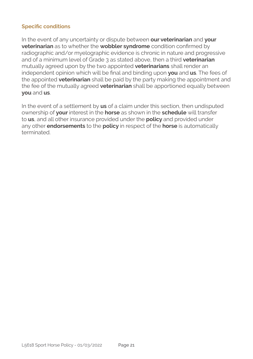#### **Specific conditions**

In the event of any uncertainty or dispute between **our veterinarian** and **your veterinarian** as to whether the **wobbler syndrome** condition confirmed by radiographic and/or myelographic evidence is chronic in nature and progressive and of a minimum level of Grade 3 as stated above, then a third **veterinarian**  mutually agreed upon by the two appointed **veterinarians** shall render an independent opinion which will be final and binding upon **you** and **us**. The fees of the appointed **veterinarian** shall be paid by the party making the appointment and the fee of the mutually agreed **veterinarian** shall be apportioned equally between **you** and **us**.

In the event of a settlement by **us** of a claim under this section, then undisputed ownership of **your** interest in the **horse** as shown in the **schedule** will transfer to **us**, and all other insurance provided under the **policy** and provided under any other **endorsements** to the **policy** in respect of the **horse** is automatically terminated.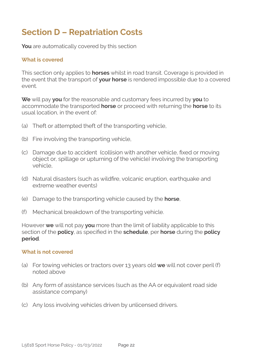### **Section D – Repatriation Costs**

**You** are automatically covered by this section

#### **What is covered**

This section only applies to **horses** whilst in road transit. Coverage is provided in the event that the transport of **your horse** is rendered impossible due to a covered event.

**We** will pay **you** for the reasonable and customary fees incurred by **you** to accommodate the transported **horse** or proceed with returning the **horse** to its usual location, in the event of:

- (a) Theft or attempted theft of the transporting vehicle,
- (b) Fire involving the transporting vehicle,
- (c) Damage due to accident (collision with another vehicle, fixed or moving object or, spillage or upturning of the vehicle) involving the transporting vehicle,
- (d) Natural disasters (such as wildfire, volcanic eruption, earthquake and extreme weather events)
- (e) Damage to the transporting vehicle caused by the **horse**,
- (f) Mechanical breakdown of the transporting vehicle.

However **we** will not pay **you** more than the limit of liability applicable to this section of the **policy**, as specified in the **schedule**, per **horse** during the **policy period**.

#### **What is not covered**

- (a) For towing vehicles or tractors over 13 years old **we** will not cover peril (f) noted above
- (b) Any form of assistance services (such as the AA or equivalent road side assistance company)
- (c) Any loss involving vehicles driven by unlicensed drivers.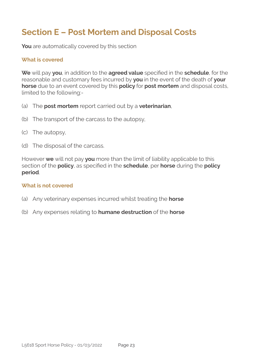### **Section E – Post Mortem and Disposal Costs**

**You** are automatically covered by this section

#### **What is covered**

**We** will pay **you**, in addition to the **agreed value** specified in the **schedule**, for the reasonable and customary fees incurred by **you** in the event of the death of **your horse** due to an event covered by this **policy** for **post mortem** and disposal costs, limited to the following:-

- (a) The **post mortem** report carried out by a **veterinarian**,
- (b) The transport of the carcass to the autopsy,
- (c) The autopsy,
- (d) The disposal of the carcass.

However **we** will not pay **you** more than the limit of liability applicable to this section of the **policy**, as specified in the **schedule**, per **horse** during the **policy period**.

#### **What is not covered**

- (a) Any veterinary expenses incurred whilst treating the **horse**
- (b) Any expenses relating to **humane destruction** of the **horse**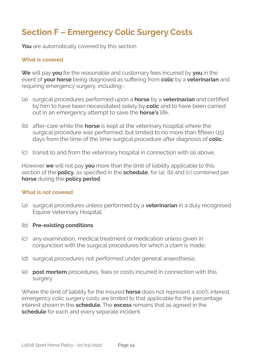### **Section F – Emergency Colic Surgery Costs**

**You** are automatically covered by this section

#### **What is covered**

**We** will pay **you** for the reasonable and customary fees incurred by **you** in the event of **your horse** being diagnosed as suffering from **colic** by a **veterinarian** and requiring emergency surgery, including:-

- (a) surgical procedures performed upon a **horse** by a **veterinarian** and certified by him to have been necessitated solely by **colic** and to have been carried out in an emergency attempt to save the **horse's** life,
- (b) after-care while the **horse** is kept at the veterinary hospital where the surgical procedure was performed, but limited to no more than fifteen (15) days from the time of the time surgical procedure after diagnosis of **colic**,
- (c) transit to and from the veterinary hospital in connection with (a) above,

However **we** will not pay **you** more than the limit of liability applicable to this section of the **policy**, as specified in the **schedule**, for (a), (b) and (c) combined per **horse** during the **policy period**.

#### **What is not covered**

- (a) surgical procedures unless performed by a **veterinarian** in a duly recognised Equine Veterinary Hospital;
- (b) **Pre-existing conditions**
- (c) any examination, medical treatment or medication unless given in conjunction with the surgical procedures for which a clam is made;
- (d) surgical procedures not performed under general anaesthesia;
- (e) **post mortem** procedures, fees or costs incurred in connection with this surgery.

Where the limit of liability for the insured **horse** does not represent a 100% interest, emergency colic surgery costs are limited to that applicable for the percentage interest shown in the **schedule**. The **excess** remains that as agreed in the **schedule** for each and every separate incident.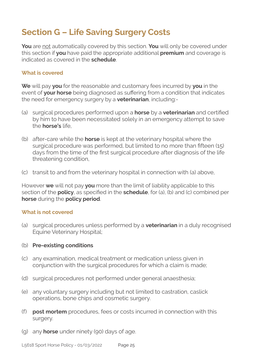### **Section G – Life Saving Surgery Costs**

**You** are not automatically covered by this section. **You** will only be covered under this section if **you** have paid the appropriate additional **premium** and coverage is indicated as covered in the **schedule**.

#### **What is covered**

**We** will pay **you** for the reasonable and customary fees incurred by **you** in the event of **your horse** being diagnosed as suffering from a condition that indicates the need for emergency surgery by a **veterinarian**, including:-

- (a) surgical procedures performed upon a **horse** by a **veterinarian** and certified by him to have been necessitated solely in an emergency attempt to save the **horse's** life,
- (b) after-care while the **horse** is kept at the veterinary hospital where the surgical procedure was performed, but limited to no more than fifteen (15) days from the time of the first surgical procedure after diagnosis of the life threatening condition,
- (c) transit to and from the veterinary hospital in connection with (a) above,

However **we** will not pay **you** more than the limit of liability applicable to this section of the **policy**, as specified in the **schedule**, for (a), (b) and (c) combined per **horse** during the **policy period**.

#### **What is not covered**

(a) surgical procedures unless performed by a **veterinarian** in a duly recognised Equine Veterinary Hospital;

#### (b) **Pre-existing conditions**

- (c) any examination, medical treatment or medication unless given in conjunction with the surgical procedures for which a claim is made;
- (d) surgical procedures not performed under general anaesthesia;
- (e) any voluntary surgery including but not limited to castration, caslick operations, bone chips and cosmetic surgery.
- (f) **post mortem** procedures, fees or costs incurred in connection with this surgery.
- (g) any **horse** under ninety (90) days of age.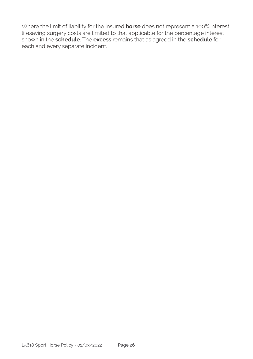Where the limit of liability for the insured **horse** does not represent a 100% interest, lifesaving surgery costs are limited to that applicable for the percentage interest shown in the **schedule**. The **excess** remains that as agreed in the **schedule** for each and every separate incident.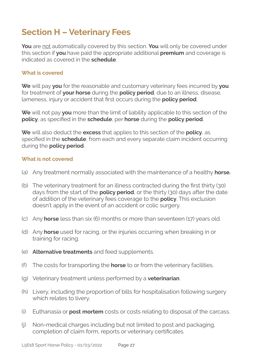### **Section H – Veterinary Fees**

**You** are not automatically covered by this section. **You** will only be covered under this section if **you** have paid the appropriate additional **premium** and coverage is indicated as covered in the **schedule**.

#### **What is covered**

**We** will pay **you** for the reasonable and customary veterinary fees incurred by **you**  for treatment of **your horse** during the **policy period**, due to an illness, disease, lameness, injury or accident that first occurs during the **policy period**.

**We** will not pay **you** more than the limit of liability applicable to this section of the **policy**, as specified in the **schedule**, per **horse** during the **policy period**.

**We** will also deduct the **excess** that applies to this section of the **policy**, as specified in the **schedule**, from each and every separate claim incident occurring during the **policy period**.

#### **What is not covered**

- (a) Any treatment normally associated with the maintenance of a healthy **horse.**
- (b) The veterinary treatment for an illness contracted during the first thirty (30) days from the start of the **policy period**, or the thirty (30) days after the date of addition of the veterinary fees coverage to the **policy**. This exclusion doesn't apply in the event of an accident or colic surgery.
- (c) Any **horse** less than six (6) months or more than seventeen (17) years old.
- (d) Any **horse** used for racing, or the injuries occurring when breaking in or training for racing.
- (e) **Alternative treatments** and feed supplements.
- (f) The costs for transporting the **horse** to or from the veterinary facilities.
- (g) Veterinary treatment unless performed by a **veterinarian**.
- (h) Livery, including the proportion of bills for hospitalisation following surgery which relates to livery.
- (i) Euthanasia or **post mortem** costs or costs relating to disposal of the carcass.
- (j) Non-medical charges including but not limited to post and packaging, completion of claim form, reports or veterinary certificates.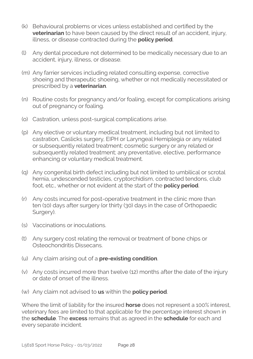- (k) Behavioural problems or vices unless established and certified by the **veterinarian** to have been caused by the direct result of an accident, injury, illness, or disease contracted during the **policy period**.
- (l) Any dental procedure not determined to be medically necessary due to an accident, injury, illness, or disease.
- (m) Any farrier services including related consulting expense, corrective shoeing and therapeutic shoeing, whether or not medically necessitated or prescribed by a **veterinarian**.
- (n) Routine costs for pregnancy and/or foaling, except for complications arising out of pregnancy or foaling.
- (o) Castration, unless post-surgical complications arise.
- (p) Any elective or voluntary medical treatment, including but not limited to castration, Caslicks surgery, EIPH or Laryngeal Hemiplegia or any related or subsequently related treatment; cosmetic surgery or any related or subsequently related treatment; any preventative, elective, performance enhancing or voluntary medical treatment.
- (q) Any congenital birth defect including but not limited to umbilical or scrotal hernia, undescended testicles, cryptorchidism, contracted tendons, club foot, etc., whether or not evident at the start of the **policy period**.
- (r) Any costs incurred for post-operative treatment in the clinic more than ten (10) days after surgery (or thirty (30) days in the case of Orthopaedic Surgery).
- (s) Vaccinations or inoculations.
- (t) Any surgery cost relating the removal or treatment of bone chips or Osteochondritis Dissecans.
- (u) Any claim arising out of a **pre-existing condition**.
- (v) Any costs incurred more than twelve (12) months after the date of the injury or date of onset of the illness.
- (w) Any claim not advised to **us** within the **policy period**.

Where the limit of liability for the insured **horse** does not represent a 100% interest, veterinary fees are limited to that applicable for the percentage interest shown in the **schedule**. The **excess** remains that as agreed in the **schedule** for each and every separate incident.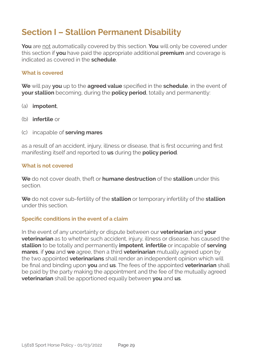### **Section I – Stallion Permanent Disability**

**You** are not automatically covered by this section. **You** will only be covered under this section if **you** have paid the appropriate additional **premium** and coverage is indicated as covered in the **schedule**.

#### **What is covered**

**We** will pay **you** up to the **agreed value** specified in the **schedule**, in the event of **your stallion** becoming, during the **policy period**, totally and permanently:

- (a) **impotent**,
- (b) **infertile** or
- (c) incapable of **serving mares**

as a result of an accident, injury, illness or disease, that is first occurring and first manifesting itself and reported to **us** during the **policy period**.

#### **What is not covered**

**We** do not cover death, theft or **humane destruction** of the **stallion** under this section.

**We** do not cover sub-fertility of the **stallion** or temporary infertility of the **stallion**  under this section.

#### **Specific conditions in the event of a claim**

In the event of any uncertainty or dispute between our **veterinarian** and **your veterinarian** as to whether such accident, injury, illness or disease, has caused the **stallion** to be totally and permanently **impotent**, **infertile** or incapable of **serving mares**, if **you** and **we** agree, then a third **veterinarian** mutually agreed upon by the two appointed **veterinarians** shall render an independent opinion which will be final and binding upon **you** and **us**. The fees of the appointed **veterinarian** shall be paid by the party making the appointment and the fee of the mutually agreed **veterinarian** shall be apportioned equally between **you** and **us**.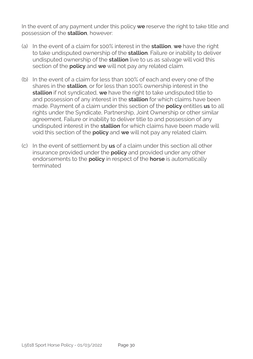In the event of any payment under this policy **we** reserve the right to take title and possession of the **stallion**, however:

- (a) In the event of a claim for 100% interest in the **stallion**, **we** have the right to take undisputed ownership of the **stallion**. Failure or inability to deliver undisputed ownership of the **stallion** live to us as salvage will void this section of the **policy** and **we** will not pay any related claim.
- (b) In the event of a claim for less than 100% of each and every one of the shares in the **stallion**, or for less than 100% ownership interest in the **stallion** if not syndicated, **we** have the right to take undisputed title to and possession of any interest in the **stallion** for which claims have been made. Payment of a claim under this section of the **policy** entitles **us** to all rights under the Syndicate, Partnership, Joint Ownership or other similar agreement. Failure or inability to deliver title to and possession of any undisputed interest in the **stallion** for which claims have been made will void this section of the **policy** and **we** will not pay any related claim.
- (c) In the event of settlement by **us** of a claim under this section all other insurance provided under the **policy** and provided under any other endorsements to the **policy** in respect of the **horse** is automatically terminated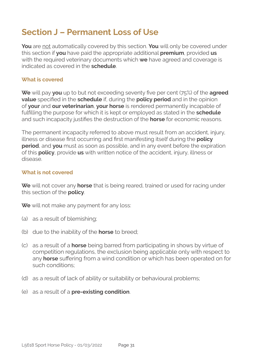### **Section J – Permanent Loss of Use**

**You** are not automatically covered by this section. **You** will only be covered under this section if **you** have paid the appropriate additional **premium**, provided **us** with the required veterinary documents which **we** have agreed and coverage is indicated as covered in the **schedule**.

#### **What is covered**

**We** will pay **you** up to but not exceeding seventy five per cent (75%) of the **agreed value** specified in the **schedule** if, during the **policy period** and in the opinion of **your** and **our veterinarian**, **your horse** is rendered permanently incapable of fulfilling the purpose for which it is kept or employed as stated in the **schedule**  and such incapacity justifies the destruction of the **horse** for economic reasons.

The permanent incapacity referred to above must result from an accident, injury, illness or disease first occurring and first manifesting itself during the **policy period**, and **you** must as soon as possible, and in any event before the expiration of this **policy**, provide **us** with written notice of the accident, injury, illness or disease.

#### **What is not covered**

**We** will not cover any **horse** that is being reared, trained or used for racing under this section of the **policy**.

**We** will not make any payment for any loss:

- (a) as a result of blemishing;
- (b) due to the inability of the **horse** to breed;
- (c) as a result of a **horse** being barred from participating in shows by virtue of competition regulations, the exclusion being applicable only with respect to any **horse** suffering from a wind condition or which has been operated on for such conditions;
- (d) as a result of lack of ability or suitability or behavioural problems;
- (e) as a result of a **pre-existing condition**.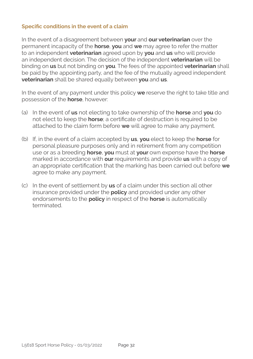#### **Specific conditions in the event of a claim**

In the event of a disagreement between **your** and **our veterinarian** over the permanent incapacity of the **horse**, **you** and **we** may agree to refer the matter to an independent **veterinarian** agreed upon by **you** and **us** who will provide an independent decision. The decision of the independent **veterinarian** will be binding on **us** but not binding on **you**. The fees of the appointed **veterinarian** shall be paid by the appointing party, and the fee of the mutually agreed independent **veterinarian** shall be shared equally between **you** and **us**.

In the event of any payment under this policy **we** reserve the right to take title and possession of the **horse**, however:

- (a) In the event of **us** not electing to take ownership of the **horse** and **you** do not elect to keep the **horse**; a certificate of destruction is required to be attached to the claim form before **we** will agree to make any payment.
- (b) If, in the event of a claim accepted by **us**, **you** elect to keep the **horse** for personal pleasure purposes only and in retirement from any competition use or as a breeding **horse**, **you** must at **your** own expense have the **horse** marked in accordance with **our** requirements and provide **us** with a copy of an appropriate certification that the marking has been carried out before **we**  agree to make any payment.
- (c) In the event of settlement by **us** of a claim under this section all other insurance provided under the **policy** and provided under any other endorsements to the **policy** in respect of the **horse** is automatically terminated.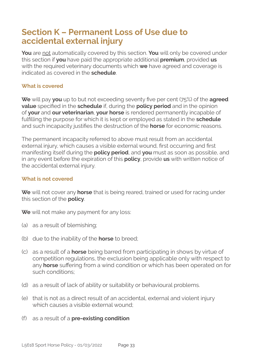### **Section K – Permanent Loss of Use due to accidental external injury**

**You** are not automatically covered by this section. **You** will only be covered under this section if **you** have paid the appropriate additional **premium**, provided **us** with the required veterinary documents which **we** have agreed and coverage is indicated as covered in the **schedule**.

#### **What is covered**

**We** will pay **you** up to but not exceeding seventy five per cent (75%) of the **agreed value** specified in the **schedule** if, during the **policy period** and in the opinion of **your** and **our veterinarian**, **your horse** is rendered permanently incapable of fulfilling the purpose for which it is kept or employed as stated in the **schedule**  and such incapacity justifies the destruction of the **horse** for economic reasons.

The permanent incapacity referred to above must result from an accidental external injury, which causes a visible external wound, first occurring and first manifesting itself during the **policy period**, and **you** must as soon as possible, and in any event before the expiration of this **policy**, provide **us** with written notice of the accidental external injury.

#### **What is not covered**

**We** will not cover any **horse** that is being reared, trained or used for racing under this section of the **policy**.

**We** will not make any payment for any loss:

- (a) as a result of blemishing;
- (b) due to the inability of the **horse** to breed;
- (c) as a result of a **horse** being barred from participating in shows by virtue of competition regulations, the exclusion being applicable only with respect to any **horse** suffering from a wind condition or which has been operated on for such conditions;
- (d) as a result of lack of ability or suitability or behavioural problems.
- (e) that is not as a direct result of an accidental, external and violent injury which causes a visible external wound;
- (f) as a result of a **pre-existing condition**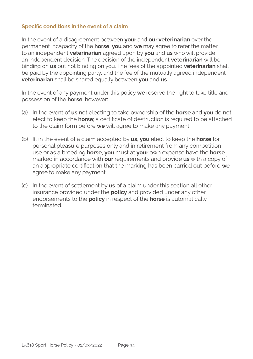#### **Specific conditions in the event of a claim**

In the event of a disagreement between **your** and **our veterinarian** over the permanent incapacity of the **horse**, **you** and **we** may agree to refer the matter to an independent **veterinarian** agreed upon by **you** and **us** who will provide an independent decision. The decision of the independent **veterinarian** will be binding on **us** but not binding on you. The fees of the appointed **veterinarian** shall be paid by the appointing party, and the fee of the mutually agreed independent **veterinarian** shall be shared equally between **you** and **us**.

In the event of any payment under this policy **we** reserve the right to take title and possession of the **horse**, however:

- (a) In the event of **us** not electing to take ownership of the **horse** and **you** do not elect to keep the **horse**; a certificate of destruction is required to be attached to the claim form before **we** will agree to make any payment.
- (b) If, in the event of a claim accepted by **us**, **you** elect to keep the **horse** for personal pleasure purposes only and in retirement from any competition use or as a breeding **horse**, **you** must at **your** own expense have the **horse** marked in accordance with **our** requirements and provide **us** with a copy of an appropriate certification that the marking has been carried out before **we**  agree to make any payment.
- (c) In the event of settlement by **us** of a claim under this section all other insurance provided under the **policy** and provided under any other endorsements to the **policy** in respect of the **horse** is automatically terminated.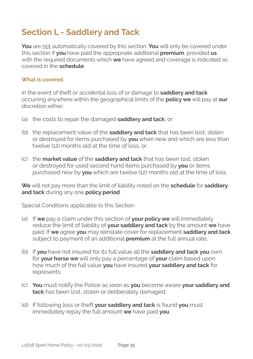### **Section L - Saddlery and Tack**

**You** are not automatically covered by this section. **You** will only be covered under this section if **you** have paid the appropriate additional **premium**, provided **us** with the required documents which **we** have agreed and coverage is indicated as covered in the **schedule**.

#### **What is covered**

In the event of theft or accidental loss of or damage to **saddlery and tack** occurring anywhere within the geographical limits of the **policy we** will pay at **our**  discretion either:

- (a) the costs to repair the damaged **saddlery and tack**, or
- (b) the replacement value of the **saddlery and tack** that has been lost, stolen or destroyed for items purchased by **you** when new and which are less than twelve (12) months old at the time of loss, or
- (c) the **market value** of the **saddlery and tack** that has been lost, stolen or destroyed for used second hand items purchased by **you** or items purchased new by **you** which are twelve (12) months old at the time of loss.

**We** will not pay more than the limit of liability noted on the **schedule** for **saddlery and tack** during any one **policy period**.

Special Conditions applicable to this Section

- (a) If **we** pay a claim under this section of **your policy we** will immediately reduce the limit of liability of **your saddlery and tack** by the amount **we** have paid. If **we** agree **you** may reinstate cover for replacement **saddlery and tack** subject to payment of an additional **premium** at the full annual rate;
- (b) If **you** have not insured for its full value all the **saddlery and tack you** own for **your horse we** will only pay a percentage of **your** claim based upon how much of the full value **you** have insured **your saddlery and tack** for represents;
- (c) **You** must notify the Police as soon as **you** become aware **your saddlery and tack** has been lost, stolen or deliberately damaged;
- (d) If following loss or theft **your saddlery and tack** is found **you** must immediately repay the full amount **we** have paid **you**.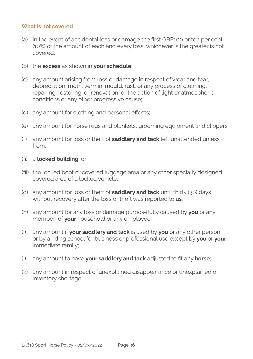#### **What is not covered**

- (a) In the event of accidental loss or damage the first GBP100 or ten per cent (10%) of the amount of each and every loss, whichever is the greater is not covered;
- (b) the **excess** as shown in **your schedule**;
- (c) any amount arising from loss or damage in respect of wear and tear, depreciation, moth, vermin, mould, rust, or any process of cleaning, repairing, restoring, or renovation, or the action of light or atmospheric conditions or any other progressive cause;
- (d) any amount for clothing and personal effects;
- (e) any amount for horse rugs and blankets, grooming equipment and clippers;
- (f) any amount for loss or theft of **saddlery and tack** left unattended unless from:
- fi) a **locked building**; or
- fii) the locked boot or covered luggage area or any other specially designed covered area of a locked vehicle;
- (g) any amount for loss or theft of **saddlery and tack** until thirty (30) days without recovery after the loss or theft was reported to **us**;
- (h) any amount for any loss or damage purposefully caused by **you** or any member of **your** household or any employee;
- (i) any amount if **your saddlery and tack** is used by **you** or any other person or by a riding school for business or professional use except by **you** or **your**  immediate family;
- (j) any amount to have **your saddlery and tack** adjusted to fit any **horse**;
- (k) any amount in respect of unexplained disappearance or unexplained or inventory shortage.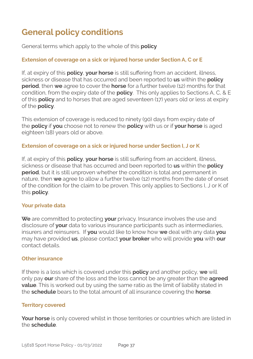### **General policy conditions**

General terms which apply to the whole of this **policy**

#### **Extension of coverage on a sick or injured horse under Section A, C or E**

If, at expiry of this **policy**, **your horse** is still suffering from an accident, illness, sickness or disease that has occurred and been reported to **us** within the **policy period**, then **we** agree to cover the **horse** for a further twelve (12) months for that condition, from the expiry date of the **policy**. This only applies to Sections A, C, & E of this **policy** and to horses that are aged seventeen (17) years old or less at expiry of the **policy**.

This extension of coverage is reduced to ninety (90) days from expiry date of the **policy** if **you** choose not to renew the **policy** with us or if **your horse** is aged eighteen (18) years old or above.

#### **Extension of coverage on a sick or injured horse under Section I, J or K**

If, at expiry of this **policy**, **your horse** is still suffering from an accident, illness, sickness or disease that has occurred and been reported to **us** within the **policy period**, but it is still unproven whether the condition is total and permanent in nature, then **we** agree to allow a further twelve (12) months from the date of onset of the condition for the claim to be proven. This only applies to Sections I, J or K of this **policy**.

#### **Your private data**

**We** are committed to protecting **your** privacy. Insurance involves the use and disclosure of **your** data to various insurance participants such as intermediaries, insurers and reinsurers. If **you** would like to know how **we** deal with any data **you**  may have provided **us**, please contact **your broker** who will provide **you** with **our**  contact details.

#### **Other insurance**

If there is a loss which is covered under this **policy** and another policy, **we** will only pay **our** share of the loss and the loss cannot be any greater than the **agreed value**. This is worked out by using the same ratio as the limit of liability stated in the **schedule** bears to the total amount of all insurance covering the **horse**.

#### **Territory covered**

**Your horse** is only covered whilst in those territories or countries which are listed in the **schedule**.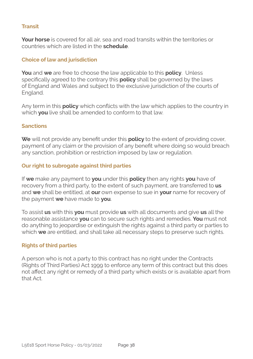#### **Transit**

**Your horse** is covered for all air, sea and road transits within the territories or countries which are listed in the **schedule**.

#### **Choice of law and jurisdiction**

**You** and **we** are free to choose the law applicable to this **policy**. Unless specifically agreed to the contrary this **policy** shall be governed by the laws of England and Wales and subject to the exclusive jurisdiction of the courts of England.

Any term in this **policy** which conflicts with the law which applies to the country in which **you** live shall be amended to conform to that law.

#### **Sanctions**

**We** will not provide any benefit under this **policy** to the extent of providing cover, payment of any claim or the provision of any benefit where doing so would breach any sanction, prohibition or restriction imposed by law or regulation.

#### **Our right to subrogate against third parties**

If **we** make any payment to **you** under this **policy** then any rights **you** have of recovery from a third party, to the extent of such payment, are transferred to **us** and **we** shall be entitled, at **our** own expense to sue in **your** name for recovery of the payment **we** have made to **you**.

To assist **us** with this **you** must provide **us** with all documents and give **us** all the reasonable assistance **you** can to secure such rights and remedies. **You** must not do anything to jeopardise or extinguish the rights against a third party or parties to which **we** are entitled, and shall take all necessary steps to preserve such rights.

#### **Rights of third parties**

A person who is not a party to this contract has no right under the Contracts (Rights of Third Parties) Act 1999 to enforce any term of this contract but this does not affect any right or remedy of a third party which exists or is available apart from that Act.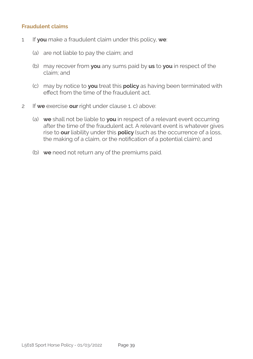#### **Fraudulent claims**

- 1 If **you** make a fraudulent claim under this policy, **we**:
	- (a) are not liable to pay the claim; and
	- (b) may recover from **you** any sums paid by **us** to **you** in respect of the claim; and
	- (c) may by notice to **you** treat this **policy** as having been terminated with effect from the time of the fraudulent act.
- 2 If **we** exercise **our** right under clause 1. c) above:
	- (a) **we** shall not be liable to **you** in respect of a relevant event occurring after the time of the fraudulent act. A relevant event is whatever gives rise to **our** liability under this **policy** (such as the occurrence of a loss, the making of a claim, or the notification of a potential claim); and
	- (b) **we** need not return any of the premiums paid.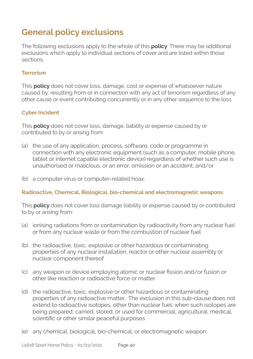### **General policy exclusions**

The following exclusions apply to the whole of this **policy**. There may be additional exclusions which apply to individual sections of cover and are listed within those sections.

#### **Terrorism**

This **policy** does not cover loss, damage, cost or expense of whatsoever nature caused by, resulting from or in connection with any act of terrorism regardless of any other cause or event contributing concurrently or in any other sequence to the loss.

#### **Cyber Incident**

This **policy** does not cover loss, damage, liability or expense caused by or contributed to by or arising from:

- (a) the use of any application, process, software, code or programme in connection with any electronic equipment (such as a computer, mobile phone, tablet or internet capable electronic device) regardless of whether such use is unauthorised or malicious, or an error, omission or an accident; and/or
- (b) a computer virus or computer-related hoax.

#### **Radioactive, Chemical, Biological, bio-chemical and electromagnetic weapons**

This **policy** does not cover loss damage liability or expense caused by or contributed to by or arising from:

- (a) ionising radiations from or contamination by radioactivity from any nuclear fuel or from any nuclear waste or from the combustion of nuclear fuel
- (b) the radioactive, toxic, explosive or other hazardous or contaminating properties of any nuclear installation, reactor or other nuclear assembly or nuclear component thereof
- (c) any weapon or device employing atomic or nuclear fission and/or fusion or other like reaction or radioactive force or matter
- (d) the radioactive, toxic, explosive or other hazardous or contaminating properties of any radioactive matter. The exclusion in this sub-clause does not extend to radioactive isotopes, other than nuclear fuel, when such isotopes are being prepared, carried, stored, or used for commercial, agricultural, medical, scientific or other similar peaceful purposes
- (e) any chemical, biological, bio-chemical, or electromagnetic weapon.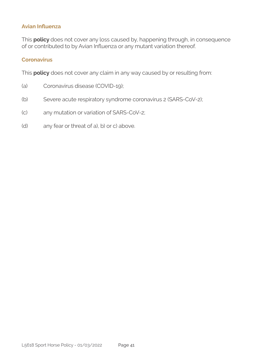#### **Avian Influenza**

This **policy** does not cover any loss caused by, happening through, in consequence of or contributed to by Avian Influenza or any mutant variation thereof.

#### **Coronavirus**

This **policy** does not cover any claim in any way caused by or resulting from:

- (a) Coronavirus disease (COVID-19);
- (b) Severe acute respiratory syndrome coronavirus 2 (SARS-CoV-2);
- (c) any mutation or variation of SARS-CoV-2;
- (d) any fear or threat of a), b) or c) above.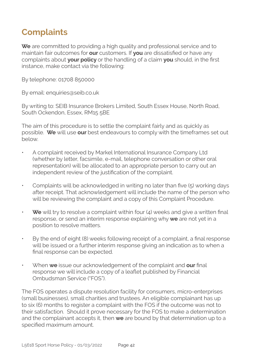### **Complaints**

**We** are committed to providing a high quality and professional service and to maintain fair outcomes for **our** customers. If **you** are dissatisfied or have any complaints about **your policy** or the handling of a claim **you** should, in the first instance, make contact via the following:

By telephone: 01708 850000

By email: enquiries@seib.co.uk

By writing to: SEIB Insurance Brokers Limited, South Essex House, North Road, South Ockendon, Essex, RM15 5BE

The aim of this procedure is to settle the complaint fairly and as quickly as possible. **We** will use **our** best endeavours to comply with the timeframes set out below.

- A complaint received by Markel International Insurance Company Ltd (whether by letter, facsimile, e-mail, telephone conversation or other oral representation) will be allocated to an appropriate person to carry out an independent review of the justification of the complaint.
- Complaints will be acknowledged in writing no later than five (5) working days after receipt. That acknowledgement will include the name of the person who will be reviewing the complaint and a copy of this Complaint Procedure.
- **We** will try to resolve a complaint within four (4) weeks and give a written final response, or send an interim response explaining why **we** are not yet in a position to resolve matters.
- By the end of eight (8) weeks following receipt of a complaint, a final response will be issued or a further interim response giving an indication as to when a final response can be expected.
- When **we** issue our acknowledgement of the complaint and **our** final response we will include a copy of a leaflet published by Financial Ombudsman Service ("FOS").

The FOS operates a dispute resolution facility for consumers, micro-enterprises (small businesses), small charities and trustees. An eligible complainant has up to six (6) months to register a complaint with the FOS if the outcome was not to their satisfaction. Should it prove necessary for the FOS to make a determination and the complainant accepts it, then **we** are bound by that determination up to a specified maximum amount.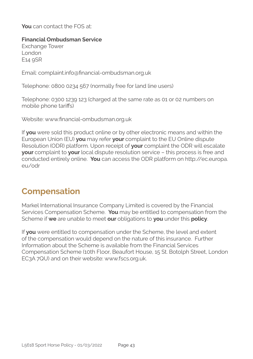**You** can contact the FOS at:

#### **Financial Ombudsman Service**

Exchange Tower London E14 9SR

Email: complaint.info@financial-ombudsman.org.uk

Telephone: 0800 0234 567 (normally free for land line users)

Telephone: 0300 1239 123 (charged at the same rate as 01 or 02 numbers on mobile phone tariffs)

Website: www.financial-ombudsman.org.uk

If **you** were sold this product online or by other electronic means and within the European Union (EU) **you** may refer **your** complaint to the EU Online dispute Resolution (ODR) platform. Upon receipt of **your** complaint the ODR will escalate **your** complaint to **your** local dispute resolution service – this process is free and conducted entirely online. **You** can access the ODR platform on http://ec.europa. eu/odr

### **Compensation**

Markel International Insurance Company Limited is covered by the Financial Services Compensation Scheme. **You** may be entitled to compensation from the Scheme if **we** are unable to meet **our** obligations to **you** under this **policy**.

If **you** were entitled to compensation under the Scheme, the level and extent of the compensation would depend on the nature of this insurance. Further Information about the Scheme is available from the Financial Services Compensation Scheme (10th Floor, Beaufort House, 15 St. Botolph Street, London EC3A 7QU) and on their website: www.fscs.org.uk.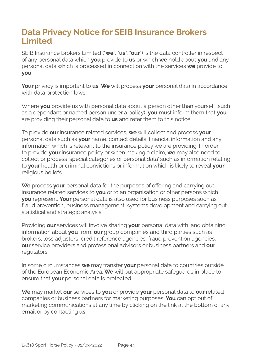### **Data Privacy Notice for SEIB Insurance Brokers Limited**

SEIB Insurance Brokers Limited ("**we**", "**us**", "**our**") is the data controller in respect of any personal data which **you** provide to **us** or which **we** hold about **you** and any personal data which is processed in connection with the services **we** provide to **you**.

**Your** privacy is important to **us**. **We** will process **your** personal data in accordance with data protection laws.

Where **you** provide us with personal data about a person other than yourself (such as a dependant or named person under a policy), **you** must inform them that **you**  are providing their personal data to **us** and refer them to this notice.

To provide **our** insurance related services, **we** will collect and process **your**  personal data such as **your** name, contact details, financial information and any information which is relevant to the insurance policy we are providing. In order to provide **your** insurance policy or when making a claim, **we** may also need to collect or process 'special categories of personal data' such as information relating to **your** health or criminal convictions or information which is likely to reveal **your**  religious beliefs.

We process your personal data for the purposes of offering and carrying out insurance related services to **you** or to an organisation or other persons which **you** represent. **Your** personal data is also used for business purposes such as fraud prevention, business management, systems development and carrying out statistical and strategic analysis.

Providing **our** services will involve sharing **your** personal data with, and obtaining information about **you** from, **our** group companies and third parties such as brokers, loss adjusters, credit reference agencies, fraud prevention agencies, **our** service providers and professional advisors or business partners and **our**  regulators.

In some circumstances **we** may transfer **your** personal data to countries outside of the European Economic Area. **We** will put appropriate safeguards in place to ensure that **your** personal data is protected.

**We** may market **our** services to **you** or provide **your** personal data to **our** related companies or business partners for marketing purposes. **You** can opt out of marketing communications at any time by clicking on the link at the bottom of any email or by contacting **us**.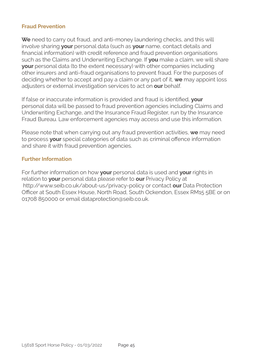#### **Fraud Prevention**

**We** need to carry out fraud, and anti-money laundering checks, and this will involve sharing **your** personal data (such as **your** name, contact details and financial information) with credit reference and fraud prevention organisations such as the Claims and Underwriting Exchange. If **you** make a claim, we will share **your** personal data (to the extent necessary) with other companies including other insurers and anti-fraud organisations to prevent fraud. For the purposes of deciding whether to accept and pay a claim or any part of it, **we** may appoint loss adjusters or external investigation services to act on **our** behalf.

If false or inaccurate information is provided and fraud is identified, **your**  personal data will be passed to fraud prevention agencies including Claims and Underwriting Exchange, and the Insurance Fraud Register, run by the Insurance Fraud Bureau. Law enforcement agencies may access and use this information.

Please note that when carrying out any fraud prevention activities, **we** may need to process **your** special categories of data such as criminal offence information and share it with fraud prevention agencies.

#### **Further Information**

For further information on how **your** personal data is used and **your** rights in relation to **your** personal data please refer to **our** Privacy Policy at http://www.seib.co.uk/about-us/privacy-policy or contact **our** Data Protection Officer at South Essex House, North Road, South Ockendon, Essex RM15 5BE or on 01708 850000 or email dataprotection@seib.co.uk.